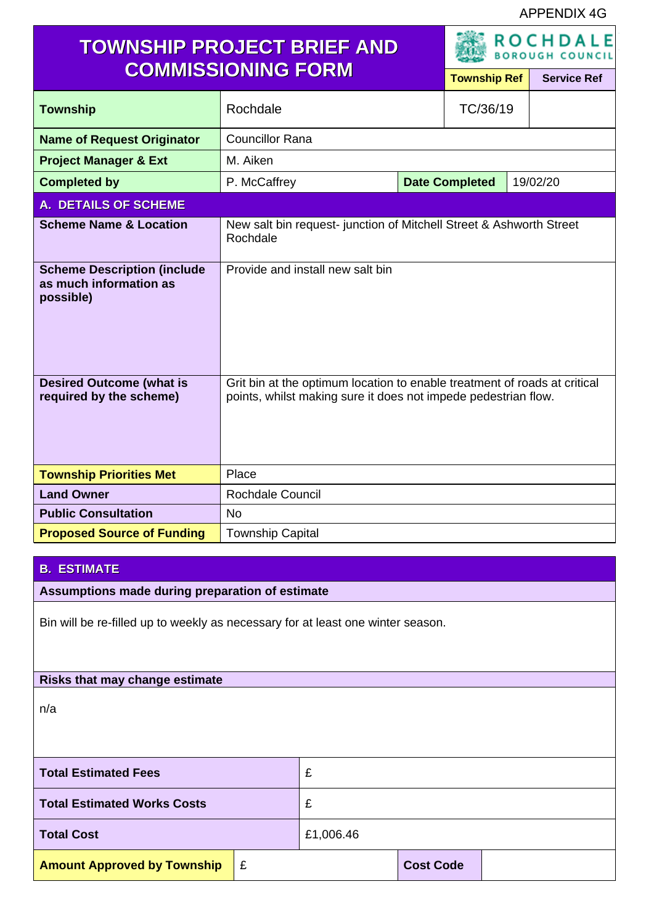APPENDIX 4G

| <b>TOWNSHIP PROJECT BRIEF AND</b>                                         |                                                                                                                                             |                       | <b>ROCHDALE</b><br><b>BOROUGH COUNCIL</b> |                    |          |  |
|---------------------------------------------------------------------------|---------------------------------------------------------------------------------------------------------------------------------------------|-----------------------|-------------------------------------------|--------------------|----------|--|
| <b>COMMISSIONING FORM</b>                                                 |                                                                                                                                             | <b>Township Ref</b>   |                                           | <b>Service Ref</b> |          |  |
| <b>Township</b>                                                           | Rochdale                                                                                                                                    |                       | TC/36/19                                  |                    |          |  |
| <b>Name of Request Originator</b>                                         | <b>Councillor Rana</b>                                                                                                                      |                       |                                           |                    |          |  |
| <b>Project Manager &amp; Ext</b>                                          | M. Aiken                                                                                                                                    |                       |                                           |                    |          |  |
| <b>Completed by</b>                                                       | P. McCaffrey                                                                                                                                | <b>Date Completed</b> |                                           |                    | 19/02/20 |  |
| <b>A. DETAILS OF SCHEME</b>                                               |                                                                                                                                             |                       |                                           |                    |          |  |
| <b>Scheme Name &amp; Location</b>                                         | New salt bin request- junction of Mitchell Street & Ashworth Street<br>Rochdale                                                             |                       |                                           |                    |          |  |
| <b>Scheme Description (include</b><br>as much information as<br>possible) | Provide and install new salt bin                                                                                                            |                       |                                           |                    |          |  |
| <b>Desired Outcome (what is</b><br>required by the scheme)                | Grit bin at the optimum location to enable treatment of roads at critical<br>points, whilst making sure it does not impede pedestrian flow. |                       |                                           |                    |          |  |
| <b>Township Priorities Met</b>                                            | Place                                                                                                                                       |                       |                                           |                    |          |  |
| <b>Land Owner</b>                                                         | <b>Rochdale Council</b>                                                                                                                     |                       |                                           |                    |          |  |
| <b>Public Consultation</b>                                                | <b>No</b>                                                                                                                                   |                       |                                           |                    |          |  |
| <b>Proposed Source of Funding</b>                                         | <b>Township Capital</b>                                                                                                                     |                       |                                           |                    |          |  |

## **B. ESTIMATE**

**Assumptions made during preparation of estimate**

Bin will be re-filled up to weekly as necessary for at least one winter season.

## **Risks that may change estimate**

n/a

| <b>Total Estimated Fees</b>        |   | £         |                  |  |
|------------------------------------|---|-----------|------------------|--|
| <b>Total Estimated Works Costs</b> |   |           |                  |  |
| <b>Total Cost</b>                  |   | £1,006.46 |                  |  |
| <b>Amount Approved by Township</b> | E |           | <b>Cost Code</b> |  |